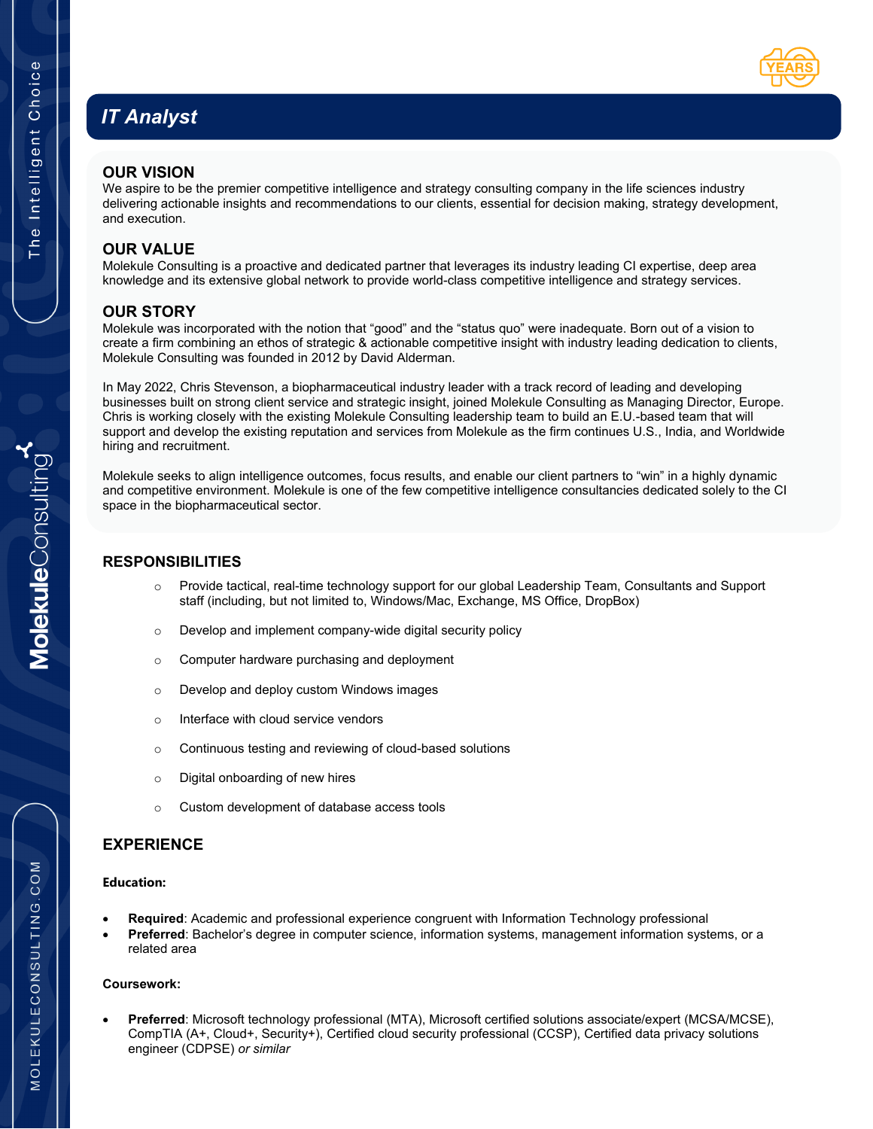# *IT Analyst*



## **OUR VISION**

We aspire to be the premier competitive intelligence and strategy consulting company in the life sciences industry delivering actionable insights and recommendations to our clients, essential for decision making, strategy development, and execution.

# **OUR VALUE**

Molekule Consulting is a proactive and dedicated partner that leverages its industry leading CI expertise, deep area knowledge and its extensive global network to provide world-class competitive intelligence and strategy services.

## **OUR STORY**

Molekule was incorporated with the notion that "good" and the "status quo" were inadequate. Born out of a vision to create a firm combining an ethos of strategic & actionable competitive insight with industry leading dedication to clients, Molekule Consulting was founded in 2012 by David Alderman.

In May 2022, Chris Stevenson, a biopharmaceutical industry leader with a track record of leading and developing businesses built on strong client service and strategic insight, joined Molekule Consulting as Managing Director, Europe. Chris is working closely with the existing Molekule Consulting leadership team to build an E.U.-based team that will support and develop the existing reputation and services from Molekule as the firm continues U.S., India, and Worldwide hiring and recruitment.

Molekule seeks to align intelligence outcomes, focus results, and enable our client partners to "win" in a highly dynamic and competitive environment. Molekule is one of the few competitive intelligence consultancies dedicated solely to the CI space in the biopharmaceutical sector.

## **RESPONSIBILITIES**

- o Provide tactical, real-time technology support for our global Leadership Team, Consultants and Support staff (including, but not limited to, Windows/Mac, Exchange, MS Office, DropBox)
- o Develop and implement company-wide digital security policy
- o Computer hardware purchasing and deployment
- o Develop and deploy custom Windows images
- o Interface with cloud service vendors
- o Continuous testing and reviewing of cloud-based solutions
- o Digital onboarding of new hires
- o Custom development of database access tools

## **EXPERIENCE**

#### **Education:**

- **Required**: Academic and professional experience congruent with Information Technology professional
- **Preferred**: Bachelor's degree in computer science, information systems, management information systems, or a related area

#### **Coursework:**

• **Preferred**: Microsoft technology professional (MTA), Microsoft certified solutions associate/expert (MCSA/MCSE), CompTIA (A+, Cloud+, Security+), Certified cloud security professional (CCSP), Certified data privacy solutions engineer (CDPSE) *or similar*